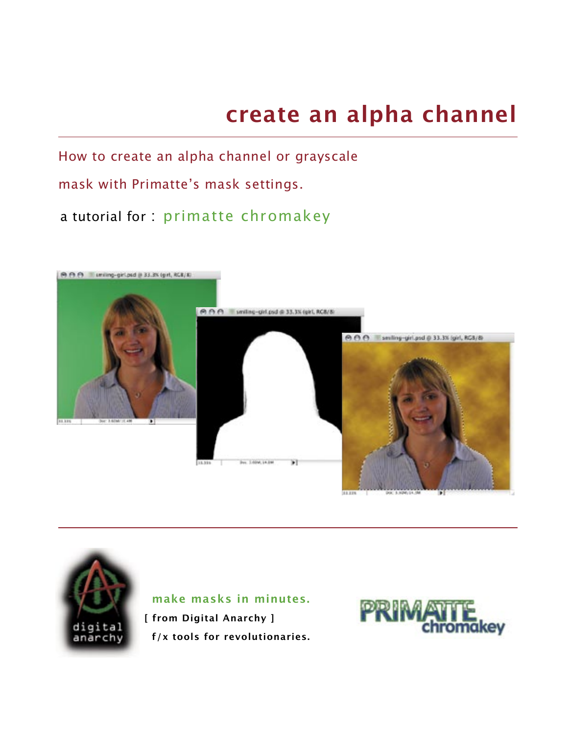# **create an alpha channel**

How to create an alpha channel or grayscale

# mask with Primatte's mask settings.

# a tutorial for : primatte chromakey





 **make masks in minutes.**

**[ from Digital Anarchy ] f/x tools for revolutionaries.**

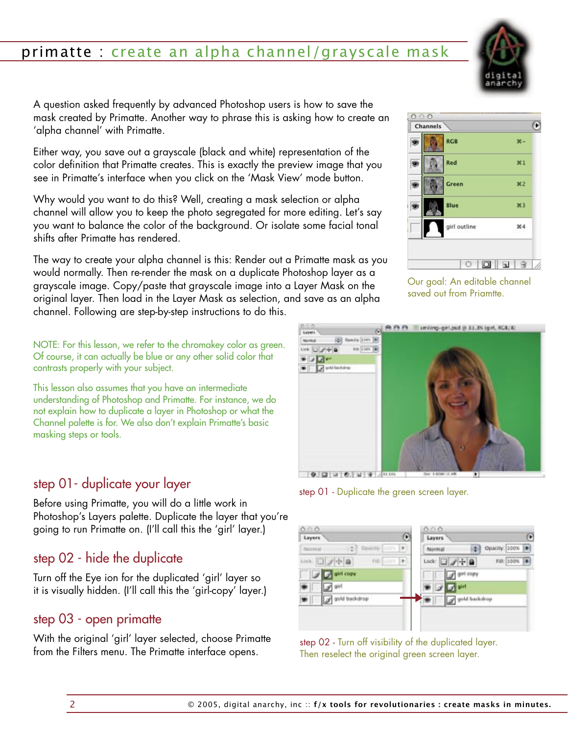

A question asked frequently by advanced Photoshop users is how to save the mask created by Primatte. Another way to phrase this is asking how to create an 'alpha channel' with Primatte.

Either way, you save out a grayscale (black and white) representation of the color definition that Primatte creates. This is exactly the preview image that you see in Primatte's interface when you click on the 'Mask View' mode button.

Why would you want to do this? Well, creating a mask selection or alpha channel will allow you to keep the photo segregated for more editing. Let's say you want to balance the color of the background. Or isolate some facial tonal shifts after Primatte has rendered.

The way to create your alpha channel is this: Render out a Primatte mask as you would normally. Then re-render the mask on a duplicate Photoshop layer as a grayscale image. Copy/paste that grayscale image into a Layer Mask on the original layer. Then load in the Layer Mask as selection, and save as an alpha channel. Following are step-by-step instructions to do this.

NOTE: For this lesson, we refer to the chromakey color as green. Of course, it can actually be blue or any other solid color that contrasts properly with your subject.

This lesson also assumes that you have an intermediate understanding of Photoshop and Primatte. For instance, we do not explain how to duplicate a layer in Photoshop or what the Channel palette is for. We also don't explain Primatte's basic masking steps or tools.

## step 01- duplicate your layer

Before using Primatte, you will do a little work in Photoshop's Layers palette. Duplicate the layer that you're going to run Primatte on. (I'll call this the 'girl' layer.)

# step 02 - hide the duplicate

Turn off the Eye ion for the duplicated 'girl' layer so it is visually hidden. (I'll call this the 'girl-copy' layer.)

## step 03 - open primatte

With the original 'girl' layer selected, choose Primatte from the Filters menu. The Primatte interface opens.



Our goal: An editable channel saved out from Priamtte.



step 01 - Duplicate the green screen layer.

| Θ<br>Layers                                             | Θ<br>Layers                    |
|---------------------------------------------------------|--------------------------------|
|                                                         |                                |
| Opacity   ICCS   P<br>٥<br>Morreal                      | Opacity 100%<br>٥<br>Mormul    |
| tes: 日才中自<br>$\left  \cdot \right $<br><b>FIEL LOUS</b> | Filt: 100%   B<br>Lock 3 # + B |
| J G airl copy                                           | of girl copy                   |
| of airl                                                 | of the ant                     |
| gold backdrop                                           | gold backdrop                  |
|                                                         |                                |

step 02 - Turn off visibility of the duplicated layer. Then reselect the original green screen layer.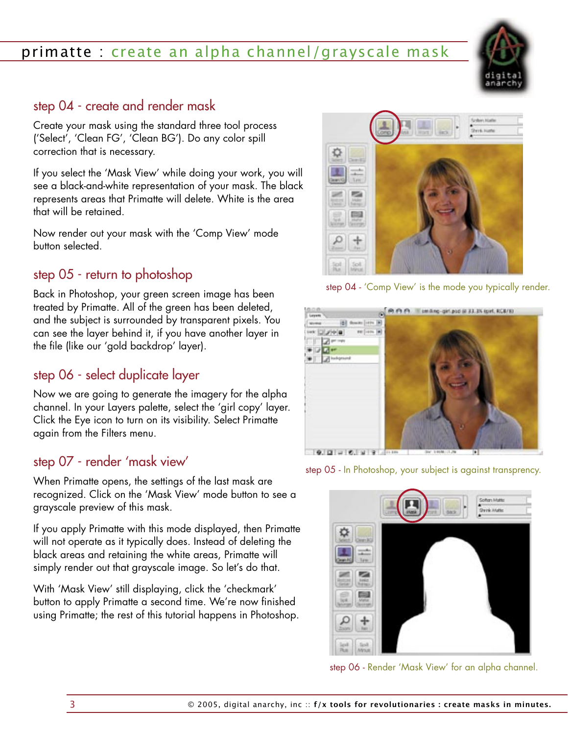## step 04 - create and render mask

Create your mask using the standard three tool process ('Select', 'Clean FG', 'Clean BG'). Do any color spill correction that is necessary.

If you select the 'Mask View' while doing your work, you will see a black-and-white representation of your mask. The black represents areas that Primatte will delete. White is the area that will be retained.

Now render out your mask with the 'Comp View' mode button selected.

# step 05 - return to photoshop

Back in Photoshop, your green screen image has been treated by Primatte. All of the green has been deleted, and the subject is surrounded by transparent pixels. You can see the layer behind it, if you have another layer in the file (like our 'gold backdrop' layer).

## step 06 - select duplicate layer

Now we are going to generate the imagery for the alpha channel. In your Layers palette, select the 'girl copy' layer. Click the Eye icon to turn on its visibility. Select Primatte again from the Filters menu.

#### step 07 - render 'mask view'

When Primatte opens, the settings of the last mask are recognized. Click on the 'Mask View' mode button to see a grayscale preview of this mask.

If you apply Primatte with this mode displayed, then Primatte will not operate as it typically does. Instead of deleting the black areas and retaining the white areas, Primatte will simply render out that grayscale image. So let's do that.

With 'Mask View' still displaying, click the 'checkmark' button to apply Primatte a second time. We're now finished using Primatte; the rest of this tutorial happens in Photoshop.









step 06 - Render 'Mask View' for an alpha channel.

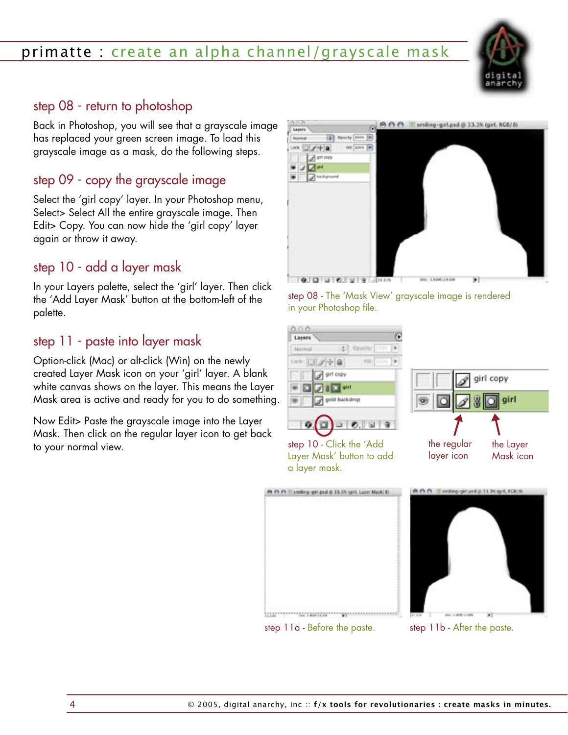

#### step 08 - return to photoshop

Back in Photoshop, you will see that a grayscale image has replaced your green screen image. To load this grayscale image as a mask, do the following steps.

# step 09 - copy the grayscale image

Select the 'girl copy' layer. In your Photoshop menu, Select> Select All the entire grayscale image. Then Edit> Copy. You can now hide the 'girl copy' layer again or throw it away.

# step 10 - add a layer mask

In your Layers palette, select the 'girl' layer. Then click the 'Add Layer Mask' button at the bottom-left of the palette.

#### step 11 - paste into layer mask

Option-click (Mac) or alt-click (Win) on the newly created Layer Mask icon on your 'girl' layer. A blank white canvas shows on the layer. This means the Layer Mask area is active and ready for you to do something.

Now Edit> Paste the grayscale image into the Layer Mask. Then click on the regular layer icon to get back to your normal view.



step 08 - The 'Mask View' grayscale image is rendered in your Photoshop file.





step 10 - Click the 'Add Layer Mask' button to add a layer mask.